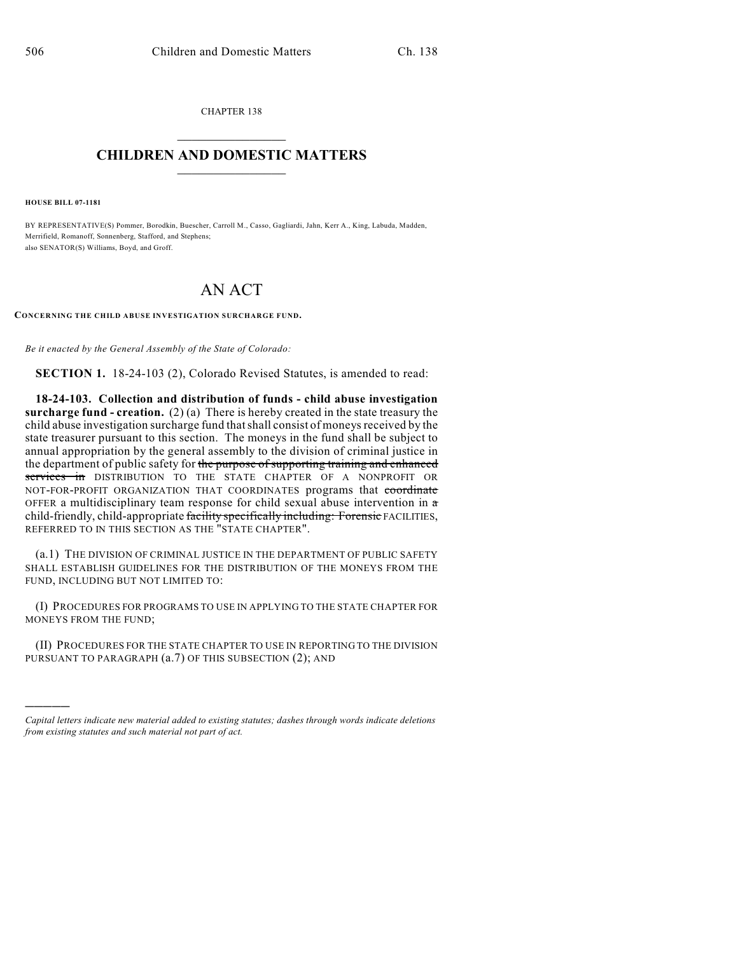CHAPTER 138  $\mathcal{L}_\text{max}$  . The set of the set of the set of the set of the set of the set of the set of the set of the set of the set of the set of the set of the set of the set of the set of the set of the set of the set of the set

## **CHILDREN AND DOMESTIC MATTERS**  $\_$

**HOUSE BILL 07-1181**

)))))

BY REPRESENTATIVE(S) Pommer, Borodkin, Buescher, Carroll M., Casso, Gagliardi, Jahn, Kerr A., King, Labuda, Madden, Merrifield, Romanoff, Sonnenberg, Stafford, and Stephens; also SENATOR(S) Williams, Boyd, and Groff.

## AN ACT

**CONCERNING THE CHILD ABUSE INVESTIGATION SURCHARGE FUND.**

*Be it enacted by the General Assembly of the State of Colorado:*

**SECTION 1.** 18-24-103 (2), Colorado Revised Statutes, is amended to read:

**18-24-103. Collection and distribution of funds - child abuse investigation surcharge fund - creation.** (2) (a) There is hereby created in the state treasury the child abuse investigation surcharge fund that shall consist of moneys received by the state treasurer pursuant to this section. The moneys in the fund shall be subject to annual appropriation by the general assembly to the division of criminal justice in the department of public safety for the purpose of supporting training and enhanced services in DISTRIBUTION TO THE STATE CHAPTER OF A NONPROFIT OR NOT-FOR-PROFIT ORGANIZATION THAT COORDINATES programs that coordinate OFFER a multidisciplinary team response for child sexual abuse intervention in a child-friendly, child-appropriate facility specifically including: Forensic FACILITIES, REFERRED TO IN THIS SECTION AS THE "STATE CHAPTER".

(a.1) THE DIVISION OF CRIMINAL JUSTICE IN THE DEPARTMENT OF PUBLIC SAFETY SHALL ESTABLISH GUIDELINES FOR THE DISTRIBUTION OF THE MONEYS FROM THE FUND, INCLUDING BUT NOT LIMITED TO:

(I) PROCEDURES FOR PROGRAMS TO USE IN APPLYING TO THE STATE CHAPTER FOR MONEYS FROM THE FUND;

(II) PROCEDURES FOR THE STATE CHAPTER TO USE IN REPORTING TO THE DIVISION PURSUANT TO PARAGRAPH  $(a.7)$  OF THIS SUBSECTION  $(2)$ ; AND

*Capital letters indicate new material added to existing statutes; dashes through words indicate deletions from existing statutes and such material not part of act.*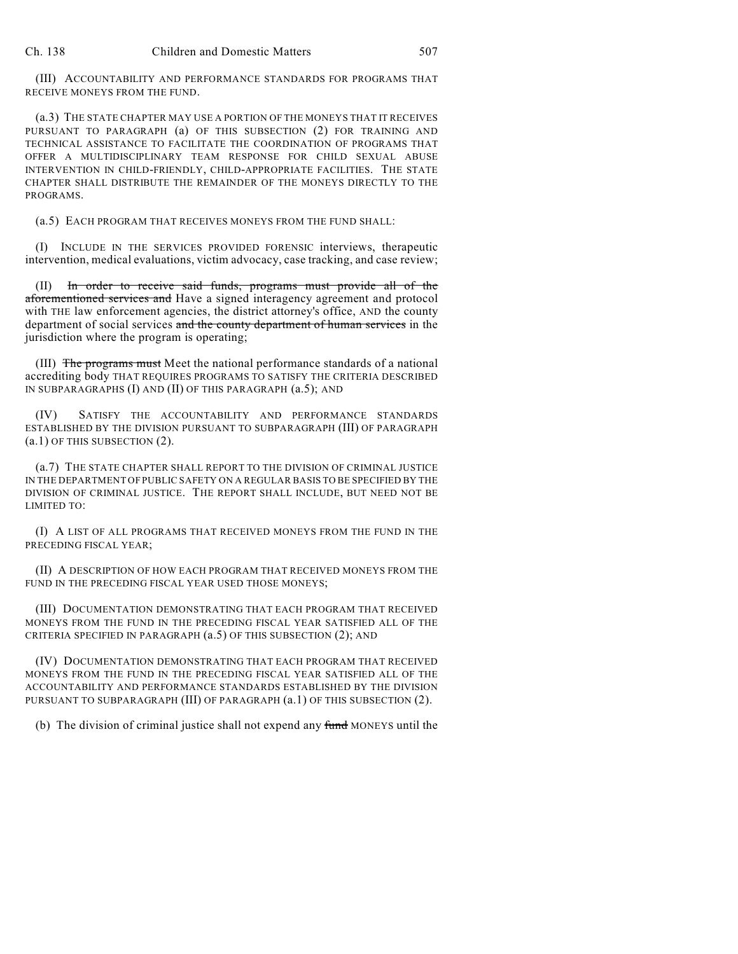(III) ACCOUNTABILITY AND PERFORMANCE STANDARDS FOR PROGRAMS THAT RECEIVE MONEYS FROM THE FUND.

(a.3) THE STATE CHAPTER MAY USE A PORTION OF THE MONEYS THAT IT RECEIVES PURSUANT TO PARAGRAPH (a) OF THIS SUBSECTION (2) FOR TRAINING AND TECHNICAL ASSISTANCE TO FACILITATE THE COORDINATION OF PROGRAMS THAT OFFER A MULTIDISCIPLINARY TEAM RESPONSE FOR CHILD SEXUAL ABUSE INTERVENTION IN CHILD-FRIENDLY, CHILD-APPROPRIATE FACILITIES. THE STATE CHAPTER SHALL DISTRIBUTE THE REMAINDER OF THE MONEYS DIRECTLY TO THE PROGRAMS.

(a.5) EACH PROGRAM THAT RECEIVES MONEYS FROM THE FUND SHALL:

(I) INCLUDE IN THE SERVICES PROVIDED FORENSIC interviews, therapeutic intervention, medical evaluations, victim advocacy, case tracking, and case review;

(II) In order to receive said funds, programs must provide all of the aforementioned services and Have a signed interagency agreement and protocol with THE law enforcement agencies, the district attorney's office, AND the county department of social services and the county department of human services in the jurisdiction where the program is operating;

(III) The programs must Meet the national performance standards of a national accrediting body THAT REQUIRES PROGRAMS TO SATISFY THE CRITERIA DESCRIBED IN SUBPARAGRAPHS (I) AND (II) OF THIS PARAGRAPH (a.5); AND

(IV) SATISFY THE ACCOUNTABILITY AND PERFORMANCE STANDARDS ESTABLISHED BY THE DIVISION PURSUANT TO SUBPARAGRAPH (III) OF PARAGRAPH (a.1) OF THIS SUBSECTION (2).

(a.7) THE STATE CHAPTER SHALL REPORT TO THE DIVISION OF CRIMINAL JUSTICE IN THE DEPARTMENT OF PUBLIC SAFETY ON A REGULAR BASIS TO BE SPECIFIED BY THE DIVISION OF CRIMINAL JUSTICE. THE REPORT SHALL INCLUDE, BUT NEED NOT BE LIMITED TO:

(I) A LIST OF ALL PROGRAMS THAT RECEIVED MONEYS FROM THE FUND IN THE PRECEDING FISCAL YEAR;

(II) A DESCRIPTION OF HOW EACH PROGRAM THAT RECEIVED MONEYS FROM THE FUND IN THE PRECEDING FISCAL YEAR USED THOSE MONEYS;

(III) DOCUMENTATION DEMONSTRATING THAT EACH PROGRAM THAT RECEIVED MONEYS FROM THE FUND IN THE PRECEDING FISCAL YEAR SATISFIED ALL OF THE CRITERIA SPECIFIED IN PARAGRAPH (a.5) OF THIS SUBSECTION (2); AND

(IV) DOCUMENTATION DEMONSTRATING THAT EACH PROGRAM THAT RECEIVED MONEYS FROM THE FUND IN THE PRECEDING FISCAL YEAR SATISFIED ALL OF THE ACCOUNTABILITY AND PERFORMANCE STANDARDS ESTABLISHED BY THE DIVISION PURSUANT TO SUBPARAGRAPH (III) OF PARAGRAPH (a.1) OF THIS SUBSECTION (2).

(b) The division of criminal justice shall not expend any fund MONEYS until the